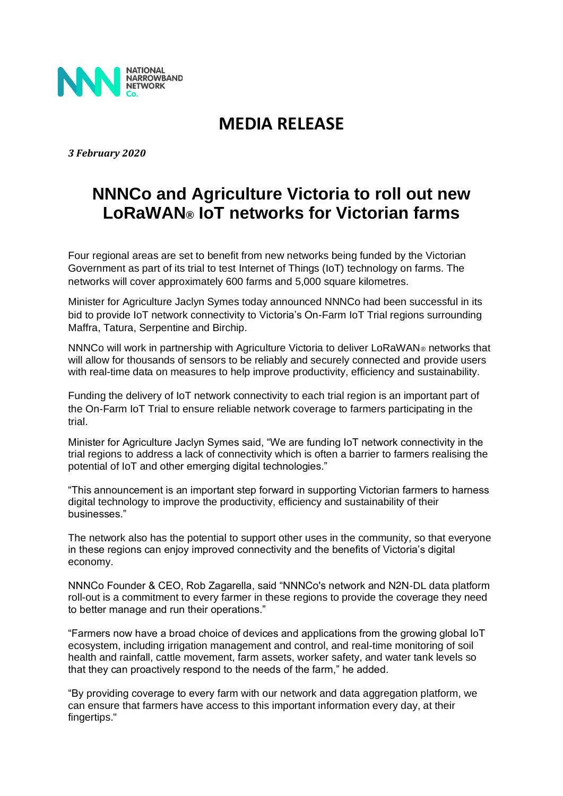

## **MEDIA RELEASE**

*3 February 2020*

## **NNNCo and Agriculture Victoria to roll out new LoRaWAN® IoT networks for Victorian farms**

Four regional areas are set to benefit from new networks being funded by the Victorian Government as part of its trial to test Internet of Things (IoT) technology on farms. The networks will cover approximately 600 farms and 5,000 square kilometres.

Minister for Agriculture Jaclyn Symes today announced NNNCo had been successful in its bid to provide IoT network connectivity to Victoria's On-Farm IoT Trial regions surrounding Maffra, Tatura, Serpentine and Birchip.

NNNCo will work in partnership with Agriculture Victoria to deliver LoRaWAN® networks that will allow for thousands of sensors to be reliably and securely connected and provide users with real-time data on measures to help improve productivity, efficiency and sustainability.

Funding the delivery of IoT network connectivity to each trial region is an important part of the On-Farm IoT Trial to ensure reliable network coverage to farmers participating in the trial.

Minister for Agriculture Jaclyn Symes said, "We are funding IoT network connectivity in the trial regions to address a lack of connectivity which is often a barrier to farmers realising the potential of IoT and other emerging digital technologies."

"This announcement is an important step forward in supporting Victorian farmers to harness digital technology to improve the productivity, efficiency and sustainability of their businesses."

The network also has the potential to support other uses in the community, so that everyone in these regions can enjoy improved connectivity and the benefits of Victoria's digital economy.

NNNCo Founder & CEO, Rob Zagarella, said "NNNCo's network and N2N-DL data platform roll-out is a commitment to every farmer in these regions to provide the coverage they need to better manage and run their operations."

"Farmers now have a broad choice of devices and applications from the growing global IoT ecosystem, including irrigation management and control, and real-time monitoring of soil health and rainfall, cattle movement, farm assets, worker safety, and water tank levels so that they can proactively respond to the needs of the farm," he added.

"By providing coverage to every farm with our network and data aggregation platform, we can ensure that farmers have access to this important information every day, at their fingertips."